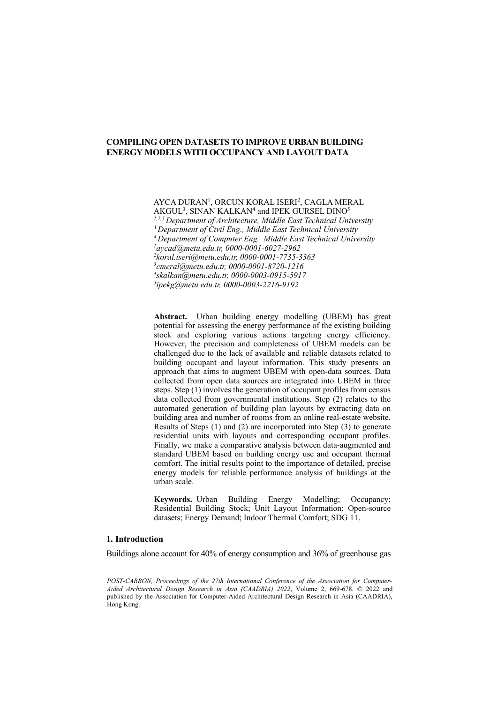AYCA DURAN<sup>1</sup>, ORCUN KORAL ISERI<sup>2</sup>, CAGLA MERAL

 $\mathrm{AKGUL}^3, \mathrm{SINAN}$  KALKAN $^4$  and IPEK GURSEL DINO $^5$ *1,2,5 Department of Architecture, Middle East Technical University 3 Department of Civil Eng., Middle East Technical University 4 Department of Computer Eng., Middle East Technical University 1 [aycad@metu.edu.tr,](mailto:aycad@metu.edu.tr) 0000-0001-6027-2962 2 [koral.iseri@metu.edu.tr,](mailto:koral.iseri@metu.edu.tr) 0000-0001-7735-3363 3 [cmeral@metu.edu.tr,](mailto:koral.iseri@metu.edu.tr) 0000-0001-8720-1216 4 [skalkan@metu.edu.tr,](mailto:koral.iseri@metu.edu.tr) 0000-0003-0915-5917 5 [ipekg@metu.edu.tr,](mailto:ipekg@metu.edu.tr) 0000-0003-2216-9192*

**Abstract.** Urban building energy modelling (UBEM) has great potential for assessing the energy performance of the existing building stock and exploring various actions targeting energy efficiency. However, the precision and completeness of UBEM models can be challenged due to the lack of available and reliable datasets related to building occupant and layout information. This study presents an approach that aims to augment UBEM with open-data sources. Data collected from open data sources are integrated into UBEM in three steps. Step (1) involves the generation of occupant profiles from census data collected from governmental institutions. Step (2) relates to the automated generation of building plan layouts by extracting data on building area and number of rooms from an online real-estate website. Results of Steps (1) and (2) are incorporated into Step (3) to generate residential units with layouts and corresponding occupant profiles. Finally, we make a comparative analysis between data-augmented and standard UBEM based on building energy use and occupant thermal comfort. The initial results point to the importance of detailed, precise energy models for reliable performance analysis of buildings at the urban scale.

**Keywords.** Urban Building Energy Modelling; Occupancy; Residential Building Stock; Unit Layout Information; Open-source datasets; Energy Demand; Indoor Thermal Comfort; SDG 11.

### **1. Introduction**

Buildings alone account for 40% of energy consumption and 36% of greenhouse gas

*POST-CARBON, Proceedings of the 27th International Conference of the Association for Computer-Aided Architectural Design Research in Asia (CAADRIA) 2022*, Volume 2, 669-678. © 2022 and published by the Association for Computer-Aided Architectural Design Research in Asia (CAADRIA), Hong Kong.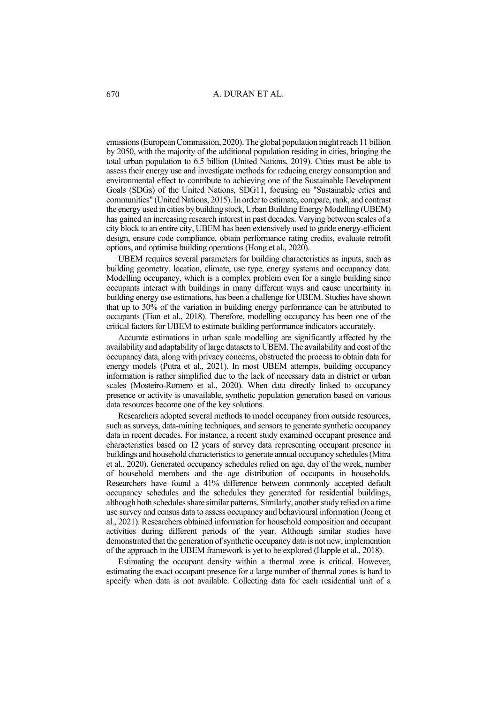emissions (European Commission, 2020). The global population might reach 11 billion by 2050, with the majority of the additional population residing in cities, bringing the total urban population to 6.5 billion (United Nations, 2019). Cities must be able to assess their energy use and investigate methods for reducing energy consumption and environmental effect to contribute to achieving one of the Sustainable Development Goals (SDGs) of the United Nations, SDG11, focusing on "Sustainable cities and communities" (United Nations, 2015). In order to estimate, compare, rank, and contrast the energy used in cities by building stock, Urban Building Energy Modelling (UBEM) has gained an increasing research interest in past decades. Varying between scales of a city block to an entire city, UBEM has been extensively used to guide energy-efficient design, ensure code compliance, obtain performance rating credits, evaluate retrofit options, and optimise building operations (Hong et al., 2020).

UBEM requires several parameters for building characteristics as inputs, such as building geometry, location, climate, use type, energy systems and occupancy data. Modelling occupancy, which is a complex problem even for a single building since occupants interact with buildings in many different ways and cause uncertainty in building energy use estimations, has been a challenge for UBEM. Studies have shown that up to 30% of the variation in building energy performance can be attributed to occupants (Tian et al., 2018). Therefore, modelling occupancy has been one of the critical factors for UBEM to estimate building performance indicators accurately.

Accurate estimations in urban scale modelling are significantly affected by the availability and adaptability of large datasets to UBEM. The availability and cost of the occupancy data, along with privacy concerns, obstructed the process to obtain data for energy models (Putra et al., 2021). In most UBEM attempts, building occupancy information is rather simplified due to the lack of necessary data in district or urban scales (Mosteiro-Romero et al., 2020). When data directly linked to occupancy presence or activity is unavailable, synthetic population generation based on various data resources become one of the key solutions.

Researchers adopted several methods to model occupancy from outside resources, such as surveys, data-mining techniques, and sensors to generate synthetic occupancy data in recent decades. For instance, a recent study examined occupant presence and characteristics based on 12 years of survey data representing occupant presence in buildings and household characteristics to generate annual occupancy schedules (Mitra et al., 2020). Generated occupancy schedules relied on age, day of the week, number of household members and the age distribution of occupants in households. Researchers have found a 41% difference between commonly accepted default occupancy schedules and the schedules they generated for residential buildings, although both schedules share similar patterns. Similarly, another study relied on a time use survey and census data to assess occupancy and behavioural information (Jeong et al., 2021). Researchers obtained information for household composition and occupant activities during different periods of the year. Although similar studies have demonstrated that the generation of synthetic occupancy data is not new, implemention of the approach in the UBEM framework is yet to be explored (Happle et al., 2018).

Estimating the occupant density within a thermal zone is critical. However, estimating the exact occupant presence for a large number of thermal zones is hard to specify when data is not available. Collecting data for each residential unit of a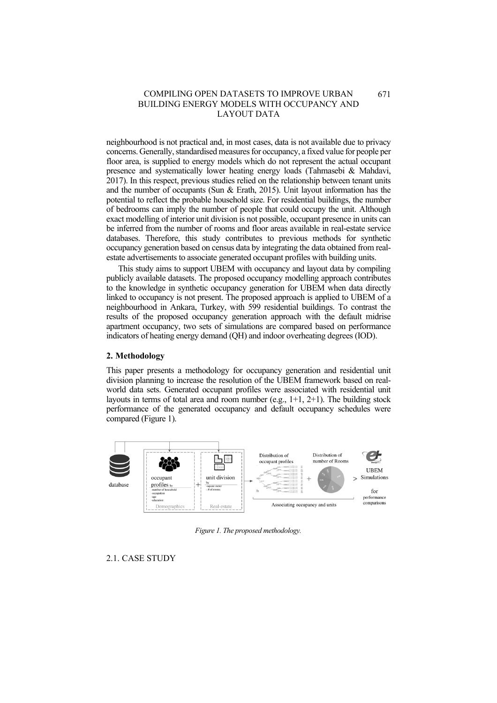neighbourhood is not practical and, in most cases, data is not available due to privacy concerns. Generally, standardised measures for occupancy, a fixed value for people per floor area, is supplied to energy models which do not represent the actual occupant presence and systematically lower heating energy loads (Tahmasebi & Mahdavi, 2017). In this respect, previous studies relied on the relationship between tenant units and the number of occupants (Sun & Erath, 2015). Unit layout information has the potential to reflect the probable household size. For residential buildings, the number of bedrooms can imply the number of people that could occupy the unit. Although exact modelling of interior unit division is not possible, occupant presence in units can be inferred from the number of rooms and floor areas available in real-estate service databases. Therefore, this study contributes to previous methods for synthetic occupancy generation based on census data by integrating the data obtained from realestate advertisements to associate generated occupant profiles with building units.

This study aims to support UBEM with occupancy and layout data by compiling publicly available datasets. The proposed occupancy modelling approach contributes to the knowledge in synthetic occupancy generation for UBEM when data directly linked to occupancy is not present. The proposed approach is applied to UBEM of a neighbourhood in Ankara, Turkey, with 599 residential buildings. To contrast the results of the proposed occupancy generation approach with the default midrise apartment occupancy, two sets of simulations are compared based on performance indicators of heating energy demand (QH) and indoor overheating degrees (IOD).

#### **2. Methodology**

This paper presents a methodology for occupancy generation and residential unit division planning to increase the resolution of the UBEM framework based on realworld data sets. Generated occupant profiles were associated with residential unit layouts in terms of total area and room number (e.g., 1+1, 2+1). The building stock performance of the generated occupancy and default occupancy schedules were compared [\(Figure 1\)](#page-2-0).



*Figure 1. The proposed methodology.*

<span id="page-2-0"></span>2.1. CASE STUDY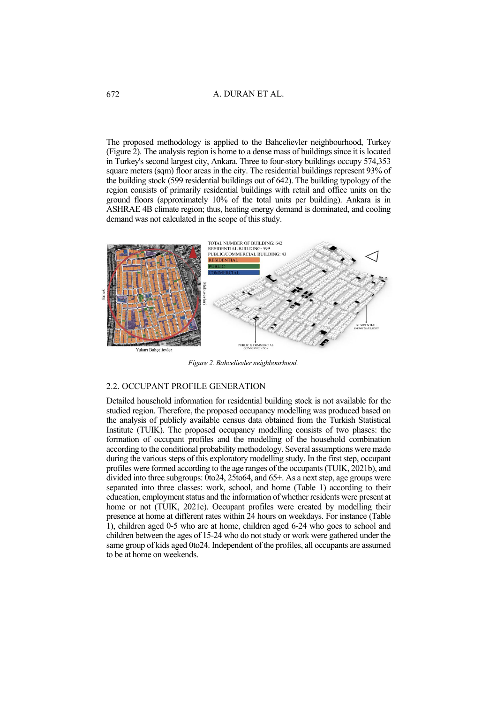## A. DURAN ET AL.

The proposed methodology is applied to the Bahcelievler neighbourhood, Turkey [\(Figure 2\)](#page-3-0). The analysis region is home to a dense mass of buildings since it is located in Turkey's second largest city, Ankara. Three to four-story buildings occupy 574,353 square meters (sqm) floor areas in the city. The residential buildings represent 93% of the building stock (599 residential buildings out of 642). The building typology of the region consists of primarily residential buildings with retail and office units on the ground floors (approximately 10% of the total units per building). Ankara is in ASHRAE 4B climate region; thus, heating energy demand is dominated, and cooling demand was not calculated in the scope of this study.



*Figure 2. Bahcelievler neighbourhood.*

#### <span id="page-3-0"></span>2.2. OCCUPANT PROFILE GENERATION

Detailed household information for residential building stock is not available for the studied region. Therefore, the proposed occupancy modelling was produced based on the analysis of publicly available census data obtained from the Turkish Statistical Institute (TUIK). The proposed occupancy modelling consists of two phases: the formation of occupant profiles and the modelling of the household combination according to the conditional probability methodology. Several assumptions were made during the various steps of this exploratory modelling study. In the first step, occupant profiles were formed according to the age ranges of the occupants (TUIK, 2021b), and divided into three subgroups: 0to24, 25to64, and 65+. As a next step, age groups were separated into three classes: work, school, and home [\(Table 1\)](#page-4-0) according to their education, employment status and the information of whether residents were present at home or not (TUIK, 2021c). Occupant profiles were created by modelling their presence at home at different rates within 24 hours on weekdays. For instance (Table 1), children aged 0-5 who are at home, children aged 6-24 who goes to school and children between the ages of 15-24 who do not study or work were gathered under the same group of kids aged 0to24. Independent of the profiles, all occupants are assumed to be at home on weekends.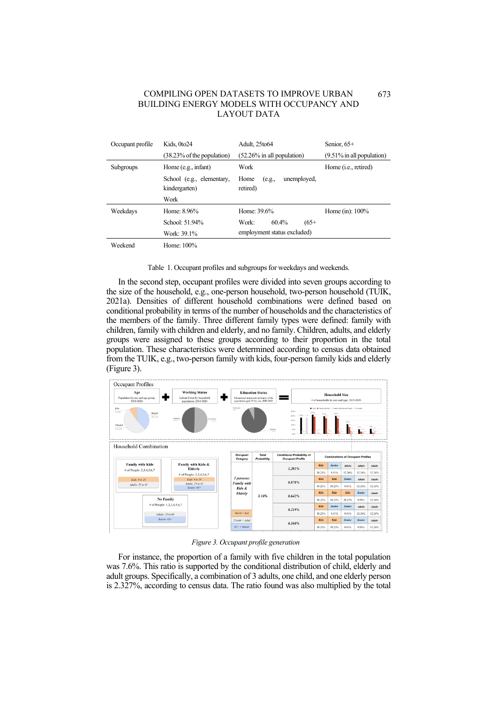| Occupant profile | Kids, 0to24                                | Adult, 25to64                             | Senior, $65+$                 |
|------------------|--------------------------------------------|-------------------------------------------|-------------------------------|
|                  | (38.23% of the population)                 | $(52.26\%$ in all population)             | $(9.51\%$ in all population)  |
| <b>Subgroups</b> | Home (e.g., infant)                        | Work                                      | Home ( <i>i.e.</i> , retired) |
|                  | School (e.g., elementary,<br>kindergarten) | unemployed,<br>Home<br>(e.g.,<br>retired) |                               |
|                  | Work                                       |                                           |                               |
| Weekdays         | Home: 8.96%                                | Home: 39.6%                               | Home (in): $100\%$            |
|                  | School: 51.94%                             | $60.4\%$<br>Work:<br>$(65+$               |                               |
|                  | Work: 39.1%                                | employment status excluded)               |                               |
| Weekend          | Home: 100%                                 |                                           |                               |

<span id="page-4-0"></span>

Table 1. Occupant profiles and subgroups for weekdays and weekends.

In the second step, occupant profiles were divided into seven groups according to the size of the household, e.g., one-person household, two-person household (TUIK, 2021a). Densities of different household combinations were defined based on conditional probability in terms of the number of households and the characteristics of the members of the family. Three different family types were defined: family with children, family with children and elderly, and no family. Children, adults, and elderly groups were assigned to these groups according to their proportion in the total population. These characteristics were determined according to census data obtained from the TUIK, e.g., two-person family with kids, four-person family kids and elderly [\(Figure 3\)](#page-4-1).



*Figure 3. Occupant profile generation*

<span id="page-4-1"></span>For instance, the proportion of a family with five children in the total population was 7.6%. This ratio is supported by the conditional distribution of child, elderly and adult groups. Specifically, a combination of 3 adults, one child, and one elderly person is 2.327%, according to census data. The ratio found was also multiplied by the total

673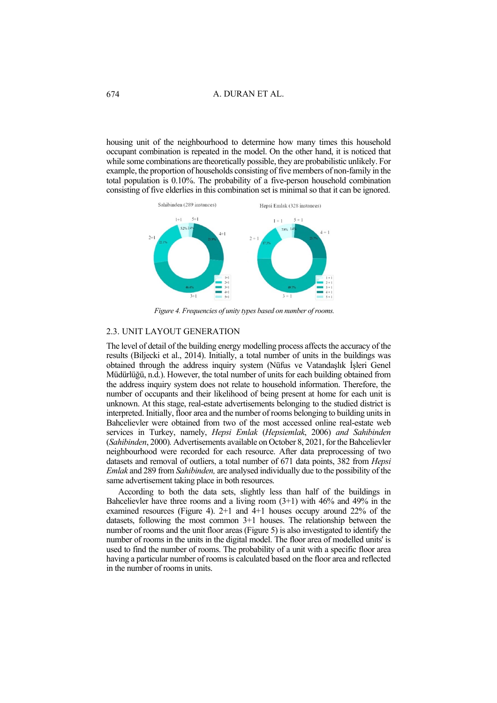housing unit of the neighbourhood to determine how many times this household occupant combination is repeated in the model. On the other hand, it is noticed that while some combinations are theoretically possible, they are probabilistic unlikely. For example, the proportion of households consisting of five members of non-family in the total population is 0.10%. The probability of a five-person household combination consisting of five elderlies in this combination set is minimal so that it can be ignored.



*Figure 4. Frequencies of unity types based on number of rooms.*

## <span id="page-5-0"></span>2.3. UNIT LAYOUT GENERATION

The level of detail of the building energy modelling process affects the accuracy of the results (Biljecki et al., 2014). Initially, a total number of units in the buildings was obtained through the address inquiry system (Nüfus ve Vatandaşlık İşleri Genel Müdürlüğü, n.d.). However, the total number of units for each building obtained from the address inquiry system does not relate to household information. Therefore, the number of occupants and their likelihood of being present at home for each unit is unknown. At this stage, real-estate advertisements belonging to the studied district is interpreted. Initially, floor area and the number of rooms belonging to building units in Bahcelievler were obtained from two of the most accessed online real-estate web services in Turkey, namely, *Hepsi Emlak* (*Hepsiemlak*, 2006) *and Sahibinden*  (*Sahibinden*, 2000)*.* Advertisements available on October 8, 2021, for the Bahcelievler neighbourhood were recorded for each resource. After data preprocessing of two datasets and removal of outliers, a total number of 671 data points, 382 from *Hepsi Emlak* and 289 from *Sahibinden,* are analysed individually due to the possibility of the same advertisement taking place in both resources.

According to both the data sets, slightly less than half of the buildings in Bahcelievler have three rooms and a living room  $(3+1)$  with 46% and 49% in the examined resources [\(Figure 4\)](#page-5-0). 2+1 and 4+1 houses occupy around 22% of the datasets, following the most common 3+1 houses. The relationship between the number of rooms and the unit floor areas [\(Figure 5\)](#page-6-0) is also investigated to identify the number of rooms in the units in the digital model. The floor area of modelled units' is used to find the number of rooms. The probability of a unit with a specific floor area having a particular number of rooms is calculated based on the floor area and reflected in the number of rooms in units.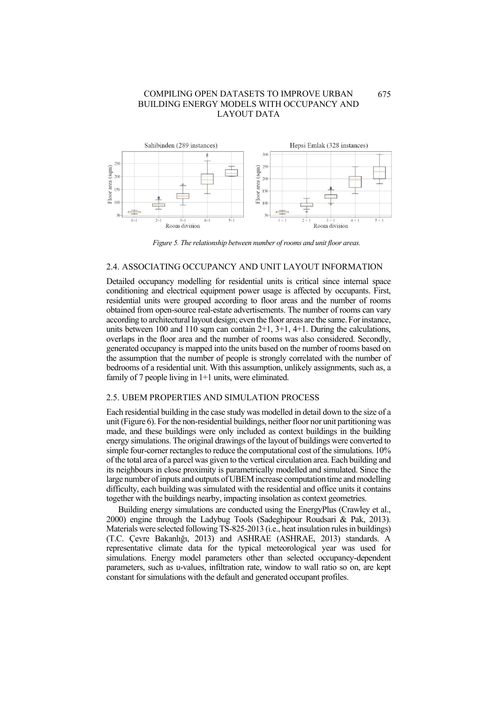

<span id="page-6-0"></span>*Figure 5. The relationship between number of rooms and unit floor areas.*

## 2.4. ASSOCIATING OCCUPANCY AND UNIT LAYOUT INFORMATION

Detailed occupancy modelling for residential units is critical since internal space conditioning and electrical equipment power usage is affected by occupants. First, residential units were grouped according to floor areas and the number of rooms obtained from open-source real-estate advertisements. The number of rooms can vary according to architectural layout design; even the floor areas are the same. For instance, units between 100 and 110 sqm can contain  $2+1$ ,  $3+1$ ,  $4+1$ . During the calculations, overlaps in the floor area and the number of rooms was also considered. Secondly, generated occupancy is mapped into the units based on the number of rooms based on the assumption that the number of people is strongly correlated with the number of bedrooms of a residential unit. With this assumption, unlikely assignments, such as, a family of 7 people living in 1+1 units, were eliminated.

### 2.5. UBEM PROPERTIES AND SIMULATION PROCESS

Each residential building in the case study was modelled in detail down to the size of a unit [\(Figure 6\)](#page-7-0). For the non-residential buildings, neither floor nor unit partitioning was made, and these buildings were only included as context buildings in the building energy simulations. The original drawings of the layout of buildings were converted to simple four-corner rectangles to reduce the computational cost of the simulations. 10% of the total area of a parcel was given to the vertical circulation area. Each building and its neighbours in close proximity is parametrically modelled and simulated. Since the large number of inputs and outputs of UBEM increase computation time and modelling difficulty, each building was simulated with the residential and office units it contains together with the buildings nearby, impacting insolation as context geometries.

Building energy simulations are conducted using the EnergyPlus (Crawley et al., 2000) engine through the Ladybug Tools (Sadeghipour Roudsari & Pak, 2013). Materials were selected following TS-825-2013 (i.e., heat insulation rules in buildings) (T.C. Çevre Bakanlığı, 2013) and ASHRAE (ASHRAE, 2013) standards. A representative climate data for the typical meteorological year was used for simulations. Energy model parameters other than selected occupancy-dependent parameters, such as u-values, infiltration rate, window to wall ratio so on, are kept constant for simulations with the default and generated occupant profiles.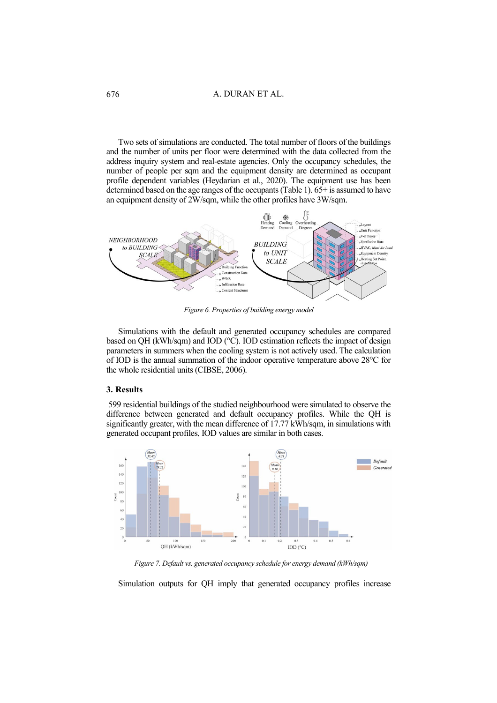Two sets of simulations are conducted. The total number of floors of the buildings and the number of units per floor were determined with the data collected from the address inquiry system and real-estate agencies. Only the occupancy schedules, the number of people per sqm and the equipment density are determined as occupant profile dependent variables (Heydarian et al., 2020). The equipment use has been determined based on the age ranges of the occupants (Table 1). 65+ is assumed to have an equipment density of 2W/sqm, while the other profiles have 3W/sqm.



*Figure 6. Properties of building energy model*

<span id="page-7-0"></span>Simulations with the default and generated occupancy schedules are compared based on QH (kWh/sqm) and IOD (°C). IOD estimation reflects the impact of design parameters in summers when the cooling system is not actively used. The calculation of IOD is the annual summation of the indoor operative temperature above 28°C for the whole residential units (CIBSE, 2006).

## **3. Results**

599 residential buildings of the studied neighbourhood were simulated to observe the difference between generated and default occupancy profiles. While the QH is significantly greater, with the mean difference of 17.77 kWh/sqm, in simulations with generated occupant profiles, IOD values are similar in both cases.



<span id="page-7-1"></span>*Figure 7. Default vs. generated occupancy schedule for energy demand (kWh/sqm)*

Simulation outputs for QH imply that generated occupancy profiles increase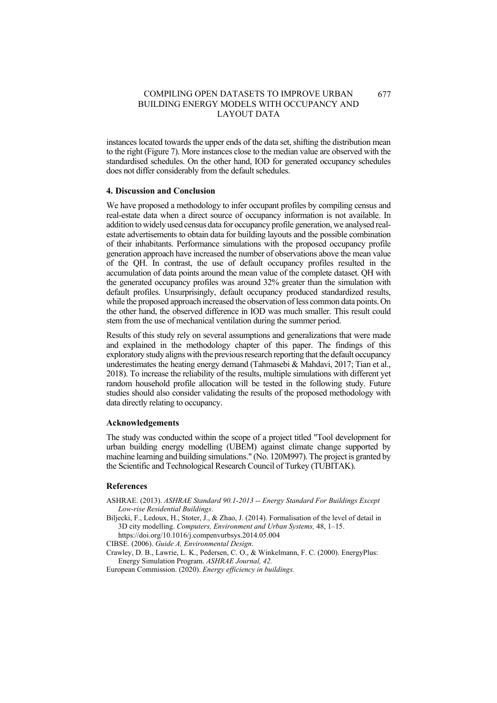instances located towards the upper ends of the data set, shifting the distribution mean to the right [\(Figure 7\)](#page-7-1). More instances close to the median value are observed with the standardised schedules. On the other hand, IOD for generated occupancy schedules does not differ considerably from the default schedules.

#### **4. Discussion and Conclusion**

We have proposed a methodology to infer occupant profiles by compiling census and real-estate data when a direct source of occupancy information is not available. In addition to widely used census data for occupancy profile generation, we analysed realestate advertisements to obtain data for building layouts and the possible combination of their inhabitants. Performance simulations with the proposed occupancy profile generation approach have increased the number of observations above the mean value of the QH. In contrast, the use of default occupancy profiles resulted in the accumulation of data points around the mean value of the complete dataset. QH with the generated occupancy profiles was around 32% greater than the simulation with default profiles. Unsurprisingly, default occupancy produced standardized results, while the proposed approach increased the observation of less common data points. On the other hand, the observed difference in IOD was much smaller. This result could stem from the use of mechanical ventilation during the summer period.

Results of this study rely on several assumptions and generalizations that were made and explained in the methodology chapter of this paper. The findings of this exploratory study alignswith the previous research reporting that the default occupancy underestimates the heating energy demand (Tahmasebi & Mahdavi, 2017; Tian et al., 2018). To increase the reliability of the results, multiple simulations with different yet random household profile allocation will be tested in the following study. Future studies should also consider validating the results of the proposed methodology with data directly relating to occupancy.

#### **Acknowledgements**

The study was conducted within the scope of a project titled "Tool development for urban building energy modelling (UBEM) against climate change supported by machine learning and building simulations." (No. 120M997). The project is granted by the Scientific and Technological Research Council of Turkey (TUBITAK).

#### **References**

ASHRAE. (2013). *ASHRAE Standard 90.1-2013 -- Energy Standard For Buildings Except Low-rise Residential Buildings*.

Biljecki, F., Ledoux, H., Stoter, J., & Zhao, J. (2014). Formalisation of the level of detail in 3D city modelling. *Computers, Environment and Urban Systems,* 48, 1–15.

https://doi.org/10.1016/j.compenvurbsys.2014.05.004

CIBSE. (2006). *Guide A, Environmental Design*.

Crawley, D. B., Lawrie, L. K., Pedersen, C. O., & Winkelmann, F. C. (2000). EnergyPlus: Energy Simulation Program. *ASHRAE Journal, 42.*

European Commission. (2020). *Energy efficiency in buildings.*

677